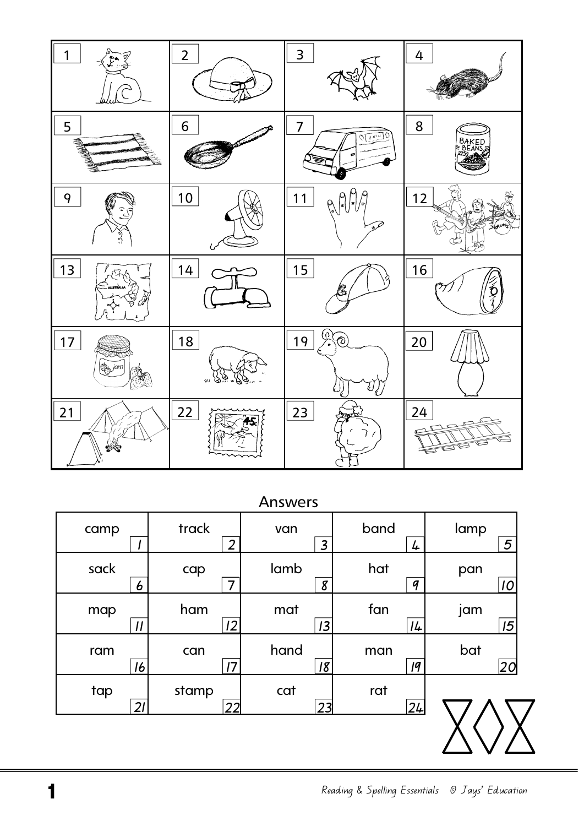| 1       | $\overline{2}$     | 3                                       | 4                           |
|---------|--------------------|-----------------------------------------|-----------------------------|
| 5       | 6                  | $\overline{7}$<br>$O\sqrt{\frac{N}{n}}$ | 8<br><b>BAKED</b><br>EBEANS |
| 9<br>۰Ş | $10$               | 11<br>Q<br>$\sqrt{2}$                   | 12<br>≫                     |
| 13      | 14                 | 15                                      | 16                          |
| 17      | 18<br>$\mathbf{W}$ | റ<br>19<br>D<br>٠<br>k,<br>lL.          | 20                          |
| 21      | 22                 | 23<br>$\mathcal{L}$                     | 24<br>ぅ<br>╕                |

## Answers

| camp          | track          | van            | band             | lamp |
|---------------|----------------|----------------|------------------|------|
|               | $\overline{2}$ | $\overline{3}$ | 4                | 5    |
| sack          | cap            | lamb           | hat              | pan  |
| 6             | 7              | 8              | $\boldsymbol{q}$ | 10   |
| map           | ham            | mat            | fan              | jam  |
| $\mathcal{U}$ | 2              | 3              | 14               | 15   |
| ram           | can            | hand           | man              | bat  |
| 16            | 17             | 18             | q                | 20   |
| tap           | stamp          | cat            | rat              |      |
| 21            | 22             | 23             | 24               |      |
|               |                |                |                  |      |

Reading & Spelling Essentials © Jays' Education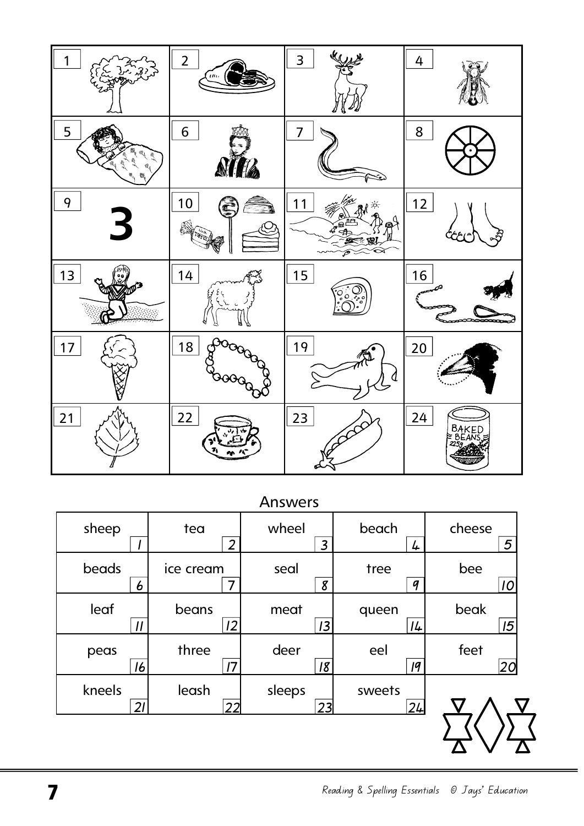|                    | $\overline{2}$<br>$\mu$ | $\mathcal{U}_{\mathcal{U}}$<br>3 | 4                      |
|--------------------|-------------------------|----------------------------------|------------------------|
| 5                  | 6                       | 7                                | 8                      |
| 9<br>$\rightarrow$ | 10                      | 1<br>⋒                           | 12<br>ام               |
| 13                 | 14<br>ы                 | 15<br>ن په ه<br>ه                | 16<br>--               |
| 17                 | 18                      | 19<br>$\mathcal{L}$              | 20                     |
| 21                 | 22                      | 23                               | 24<br>BAKED<br>€ BEANS |

**Answers** 

|                 |                | , ,, , , , , , , , |        |         |
|-----------------|----------------|--------------------|--------|---------|
| sheep           | tea            | wheel              | beach  | cheese  |
|                 | $\overline{2}$ | $\overline{3}$     | 4      | 5       |
| beads           | ice cream      | seal               | tree   | bee     |
| 6               |                | 8                  | 9      | 10      |
| leaf            | beans          | meat               | queen  | beak    |
| $\overline{11}$ | 2              | 3                  | 14     | 15      |
| peas            | three          | deer               | eel    | feet    |
| 16              | 17             | 18                 | q      | $ 20\>$ |
| kneels          | leash          | sleeps             | sweets |         |
| 21              | 22             | 23                 | 24     |         |
|                 |                |                    |        |         |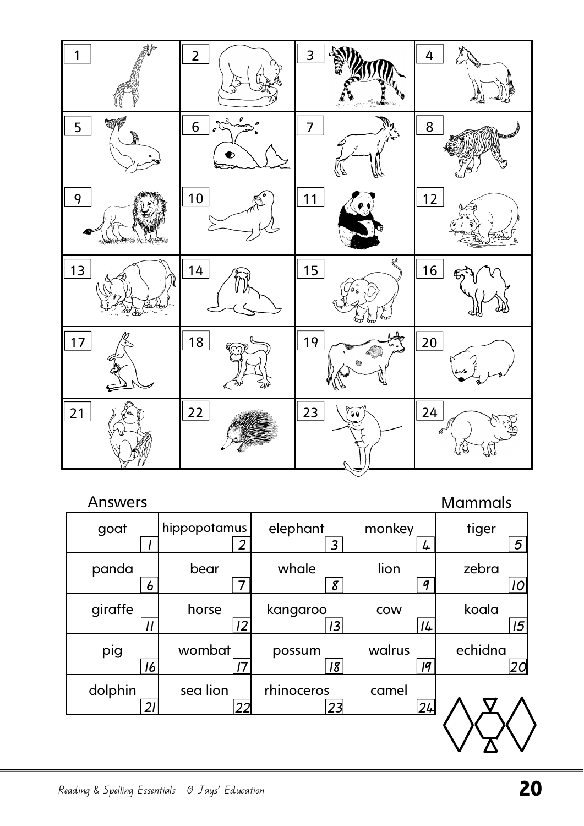

| <b>Answers</b> |              |                |                  | <b>Mammals</b> |
|----------------|--------------|----------------|------------------|----------------|
| goat           | hippopotamus | elephant       | monkey           | tiger          |
|                | 2            | $\overline{3}$ | 4                | 5              |
| panda          | bear         | whale          | lion             | zebra          |
| 6              | 7            | 8              | $\boldsymbol{q}$ | 10             |
| giraffe        | horse        | kangaroo       | <b>COW</b>       | koala          |
| $\overline{1}$ | 12           | 13             | 14               | 15             |
| pig            | wombat       | possum         | walrus           | echidna        |
| 16             | 17           | 18             | q                | 20             |
| dolphin        | sea lion     | rhinoceros     | camel            |                |
| $\mathcal{D}$  | 22           | 23             | 24               |                |
|                |              |                |                  |                |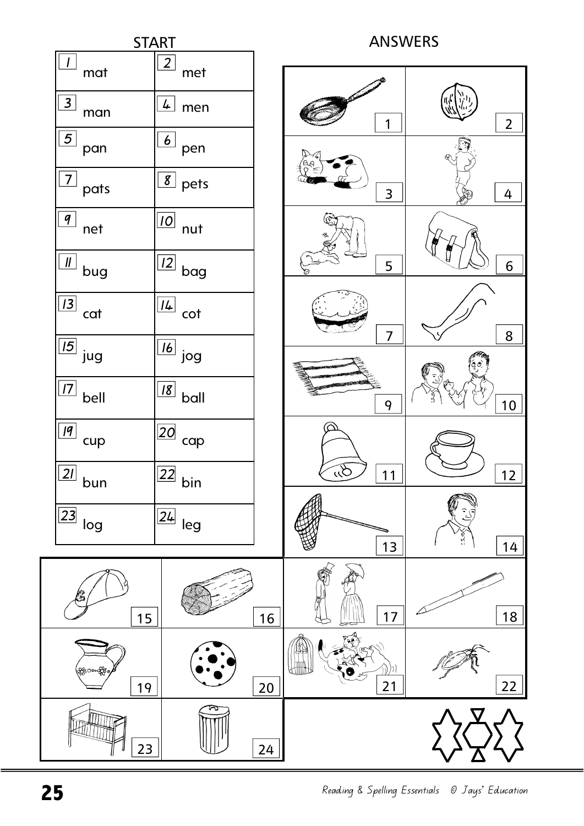

Reading & Spelling Essentials © Jays' Education